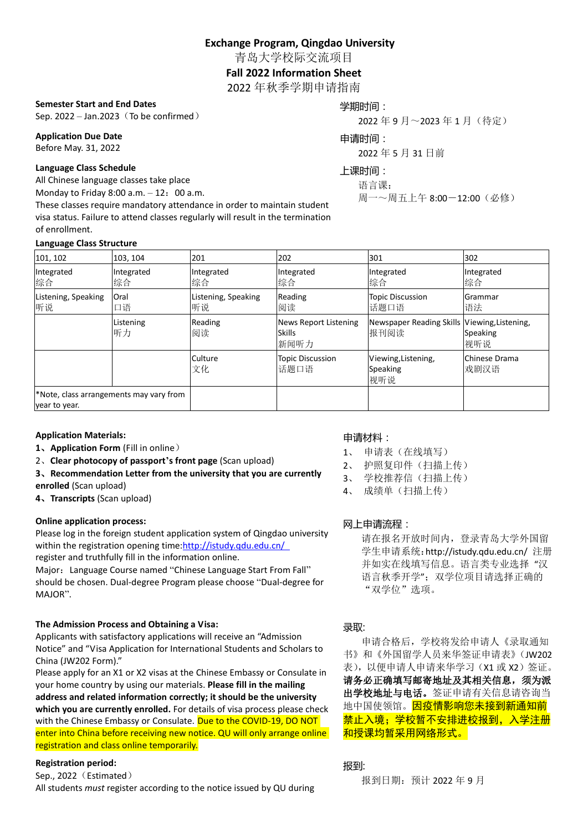**Exchange Program, Qingdao University**

青岛大学校际交流项目

### **Fall 2022 Information Sheet**

2022 年秋季学期申请指南

#### **Semester Start and End Dates**

Sep. 2022 – Jan. 2023 (To be confirmed)

**Application Due Date** Before May. 31, 2022

#### **Language Class Schedule**

All Chinese language classes take place

Monday to Friday  $8:00$  a.m.  $-12:00$  a.m.

These classes require mandatory attendance in order to maintain student visa status. Failure to attend classes regularly will result in the termination of enrollment.

#### **Language Class Structure**

学期时间: 2022 年 9 月~2023 年 1 月(待定)

## 申请时间:

2022 年 5 月 31 日前

# 上课时间:

语言课:

周一~周五上午 8:00-12:00(必修)

| 101, 102                                                 | 103, 104         | 201                       | 202                                            | 301                                                  | 302                   |
|----------------------------------------------------------|------------------|---------------------------|------------------------------------------------|------------------------------------------------------|-----------------------|
| Integrated<br>综合                                         | Integrated<br>综合 | Integrated<br>综合          | Integrated<br>综合                               | Integrated<br>综合                                     | Integrated<br>综合      |
| Listening, Speaking<br>听说                                | Oral<br>口语       | Listening, Speaking<br>听说 | Reading<br>阅读                                  | <b>Topic Discussion</b><br>话题口语                      | Grammar<br>语法         |
|                                                          | Listening<br>听力  | Reading<br>阅读             | News Report Listening<br><b>Skills</b><br>新闻听力 | Newspaper Reading Skills Viewing, Listening,<br>报刊阅读 | Speaking<br>视听说       |
|                                                          |                  | Culture<br>文化             | <b>Topic Discussion</b><br>话题口语                | Viewing, Listening,<br>Speaking<br>视听说               | Chinese Drama<br>戏剧汉语 |
| *Note, class arrangements may vary from<br>year to year. |                  |                           |                                                |                                                      |                       |

### **Application Materials:**

- **1**、**Application Form** (Fill in online)
- 2、**Clear photocopy of passport's front page** (Scan upload)
- **3**、**Recommendation Letter from the university that you are currently**
- **enrolled** (Scan upload)
- **4**、**Transcripts** (Scan upload)

### **Online application process:**

Please log in the foreign student application system of Qingdao university within the registration opening time[:http://istudy.qdu.edu.cn/](http://istudy.qdu.edu.cn/) register and truthfully fill in the information online.

Major: Language Course named "Chinese Language Start From Fall" should be chosen. Dual-degree Program please choose "Dual-degree for MAJOR".

### **The Admission Process and Obtaining a Visa:**

Applicants with satisfactory applications will receive an "Admission Notice" and "Visa Application for International Students and Scholars to China (JW202 Form)."

Please apply for an X1 or X2 visas at the Chinese Embassy or Consulate in your home country by using our materials. **Please fill in the mailing address and related information correctly; it should be the university which you are currently enrolled.** For details of visa process please check with the Chinese Embassy or Consulate. Due to the COVID-19, DO NOT enter into China before receiving new notice. QU will only arrange online registration and class online temporarily.

### **Registration period:**

Sep., 2022 (Estimated) All students *must* register according to the notice issued by QU during

## 申请材料:

- 1、 申请表(在线填写)
- 2、 护照复印件(扫描上传)
- 3、 学校推荐信(扫描上传)
- 4、 成绩单(扫描上传)

## 网上申请流程:

请在报名开放时间内,登录青岛大学外国留 学生申请系统:[http://istudy.qdu.edu.cn/](http://istudy.qdu.edu.cn/%20注册并如实在线填写信息。语言类专业选择%20“汉语言秋季开学”；双学位项目请选择正确的“双学位”选项。) 注册 [并如实在线填写信息。语言类专业选择](http://istudy.qdu.edu.cn/%20注册并如实在线填写信息。语言类专业选择%20“汉语言秋季开学”；双学位项目请选择正确的“双学位”选项。) "汉 语言秋季开学"[;双学位项目请选择正确的](http://istudy.qdu.edu.cn/%20注册并如实在线填写信息。语言类专业选择%20“汉语言秋季开学”；双学位项目请选择正确的“双学位”选项。) ["双学位"选项。](http://istudy.qdu.edu.cn/%20注册并如实在线填写信息。语言类专业选择%20“汉语言秋季开学”；双学位项目请选择正确的“双学位”选项。)

### 录取:

申请合格后,学校将发给申请人《录取通知 书》和《外国留学人员来华签证申请表》(JW202 表),以便申请人申请来华学习(X1 或 X2) 签证。 请务必正确填写邮寄地址及其相关信息,须为派 出学校地址与电话。签证申请有关信息请咨询当 地中国使领馆。因疫情影响您未接到新通知前 禁止入境;学校暂不安排进校报到,入学注册 和授课均暂采用网络形式。

报到:

报到日期:预计 2022 年 9 月